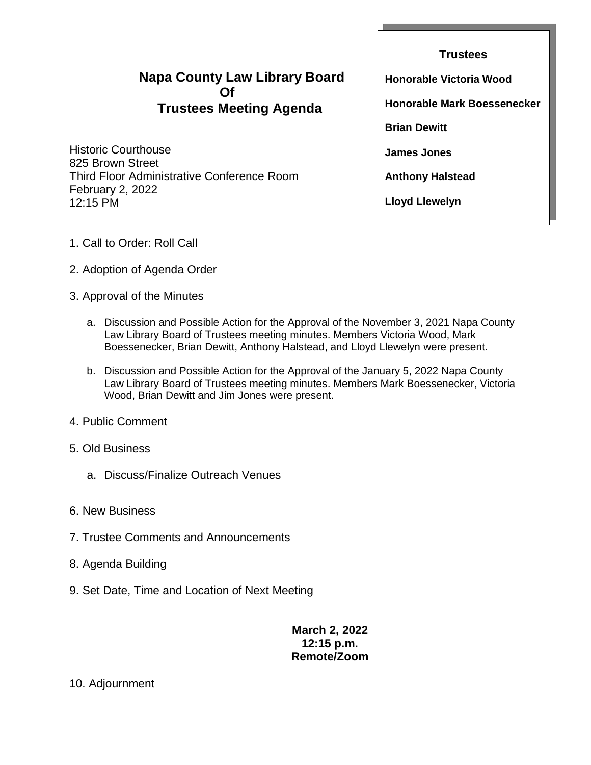# **Napa County Law Library Board Of Trustees Meeting Agenda**

Historic Courthouse 825 Brown Street Third Floor Administrative Conference Room February 2, 2022 12:15 PM

**Trustees Honorable Victoria Wood Honorable Mark Boessenecker Brian Dewitt James Jones Anthony Halstead Lloyd Llewelyn**

- 1. Call to Order: Roll Call
- 2. Adoption of Agenda Order
- 3. Approval of the Minutes
	- a. Discussion and Possible Action for the Approval of the November 3, 2021 Napa County Law Library Board of Trustees meeting minutes. Members Victoria Wood, Mark Boessenecker, Brian Dewitt, Anthony Halstead, and Lloyd Llewelyn were present.
	- b. Discussion and Possible Action for the Approval of the January 5, 2022 Napa County Law Library Board of Trustees meeting minutes. Members Mark Boessenecker, Victoria Wood, Brian Dewitt and Jim Jones were present.
- 4. Public Comment
- 5. Old Business
	- a. Discuss/Finalize Outreach Venues
- 6. New Business
- 7. Trustee Comments and Announcements
- 8. Agenda Building
- 9. Set Date, Time and Location of Next Meeting

**March 2, 2022 12:15 p.m. Remote/Zoom**

10. Adjournment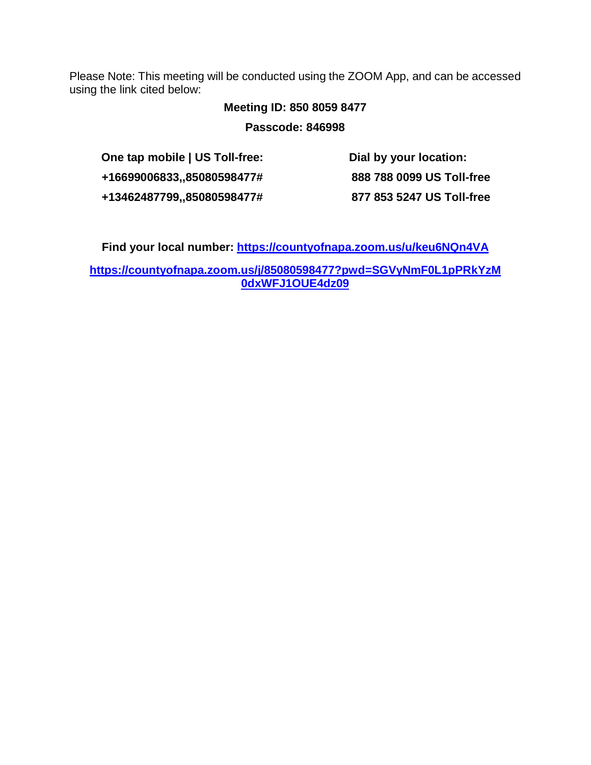Please Note: This meeting will be conducted using the ZOOM App, and can be accessed using the link cited below:

# **Meeting ID: 850 8059 8477**

**Passcode: 846998**

| One tap mobile   US Toll-free: | Dial by your location:    |
|--------------------------------|---------------------------|
| +16699006833,,85080598477#     | 888 788 0099 US Toll-free |
| +13462487799,,85080598477#     | 877 853 5247 US Toll-free |

**Find your local number: <https://countyofnapa.zoom.us/u/keu6NQn4VA>**

**[https://countyofnapa.zoom.us/j/85080598477?pwd=SGVyNmF0L1pPRkYzM](https://countyofnapa.zoom.us/j/85080598477?pwd=SGVyNmF0L1pPRkYzM0dxWFJ1OUE4dz09) [0dxWFJ1OUE4dz09](https://countyofnapa.zoom.us/j/85080598477?pwd=SGVyNmF0L1pPRkYzM0dxWFJ1OUE4dz09)**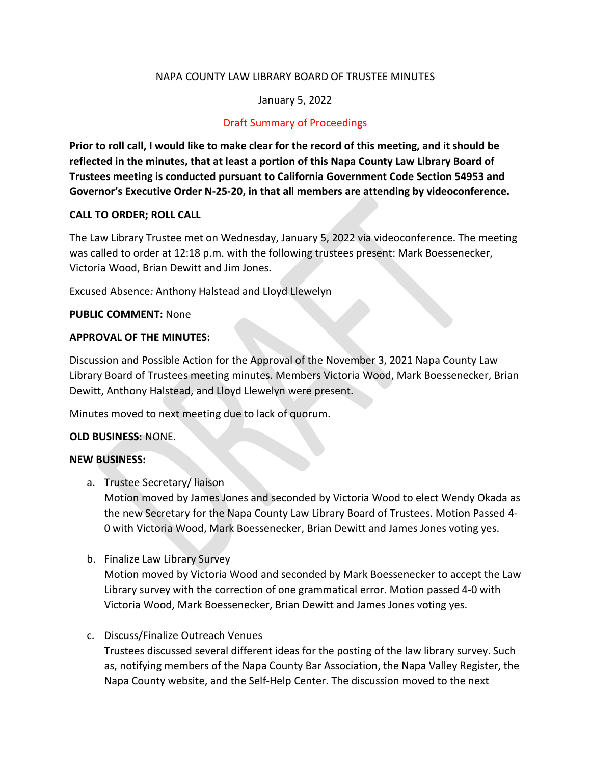# NAPA COUNTY LAW LIBRARY BOARD OF TRUSTEE MINUTES

# January 5, 2022

# Draft Summary of Proceedings

**Prior to roll call, I would like to make clear for the record of this meeting, and it should be reflected in the minutes, that at least a portion of this Napa County Law Library Board of Trustees meeting is conducted pursuant to California Government Code Section 54953 and Governor's Executive Order N-25-20, in that all members are attending by videoconference.**

# **CALL TO ORDER; ROLL CALL**

The Law Library Trustee met on Wednesday, January 5, 2022 via videoconference. The meeting was called to order at 12:18 p.m. with the following trustees present: Mark Boessenecker, Victoria Wood, Brian Dewitt and Jim Jones.

Excused Absence*:* Anthony Halstead and Lloyd Llewelyn

#### **PUBLIC COMMENT:** None

#### **APPROVAL OF THE MINUTES:**

Discussion and Possible Action for the Approval of the November 3, 2021 Napa County Law Library Board of Trustees meeting minutes. Members Victoria Wood, Mark Boessenecker, Brian Dewitt, Anthony Halstead, and Lloyd Llewelyn were present.

Minutes moved to next meeting due to lack of quorum.

#### **OLD BUSINESS:** NONE.

#### **NEW BUSINESS:**

a. Trustee Secretary/ liaison

Motion moved by James Jones and seconded by Victoria Wood to elect Wendy Okada as the new Secretary for the Napa County Law Library Board of Trustees. Motion Passed 4- 0 with Victoria Wood, Mark Boessenecker, Brian Dewitt and James Jones voting yes.

b. Finalize Law Library Survey

Motion moved by Victoria Wood and seconded by Mark Boessenecker to accept the Law Library survey with the correction of one grammatical error. Motion passed 4-0 with Victoria Wood, Mark Boessenecker, Brian Dewitt and James Jones voting yes.

# c. Discuss/Finalize Outreach Venues

Trustees discussed several different ideas for the posting of the law library survey. Such as, notifying members of the Napa County Bar Association, the Napa Valley Register, the Napa County website, and the Self-Help Center. The discussion moved to the next